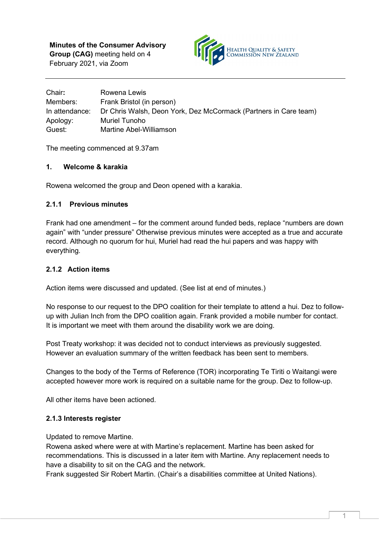**Minutes of the Consumer Advisory Group (CAG)** meeting held on 4 February 2021, via Zoom



| Chair:         | Rowena Lewis                                                     |
|----------------|------------------------------------------------------------------|
| Members:       | Frank Bristol (in person)                                        |
| In attendance: | Dr Chris Walsh, Deon York, Dez McCormack (Partners in Care team) |
| Apology:       | Muriel Tunoho                                                    |
| Guest:         | Martine Abel-Williamson                                          |

The meeting commenced at 9.37am

## **1. Welcome & karakia**

Rowena welcomed the group and Deon opened with a karakia.

## **2.1.1 Previous minutes**

Frank had one amendment – for the comment around funded beds, replace "numbers are down again" with "under pressure" Otherwise previous minutes were accepted as a true and accurate record. Although no quorum for hui, Muriel had read the hui papers and was happy with everything.

## **2.1.2 Action items**

Action items were discussed and updated. (See list at end of minutes.)

No response to our request to the DPO coalition for their template to attend a hui. Dez to followup with Julian Inch from the DPO coalition again. Frank provided a mobile number for contact. It is important we meet with them around the disability work we are doing.

Post Treaty workshop: it was decided not to conduct interviews as previously suggested. However an evaluation summary of the written feedback has been sent to members.

Changes to the body of the Terms of Reference (TOR) incorporating Te Tiriti o Waitangi were accepted however more work is required on a suitable name for the group. Dez to follow-up.

All other items have been actioned.

#### **2.1.3 Interests register**

Updated to remove Martine.

Rowena asked where were at with Martine's replacement. Martine has been asked for recommendations. This is discussed in a later item with Martine. Any replacement needs to have a disability to sit on the CAG and the network.

Frank suggested Sir Robert Martin. (Chair's a disabilities committee at United Nations).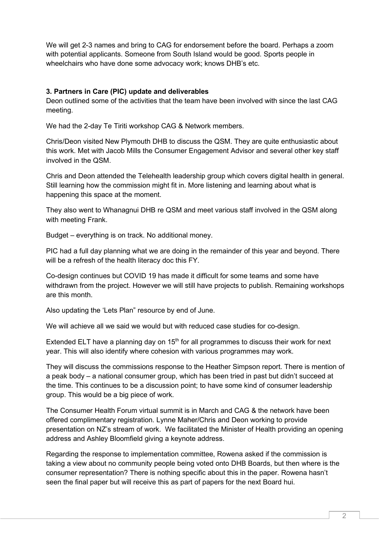We will get 2-3 names and bring to CAG for endorsement before the board. Perhaps a zoom with potential applicants. Someone from South Island would be good. Sports people in wheelchairs who have done some advocacy work; knows DHB's etc.

#### **3. Partners in Care (PIC) update and deliverables**

Deon outlined some of the activities that the team have been involved with since the last CAG meeting.

We had the 2-day Te Tiriti workshop CAG & Network members.

Chris/Deon visited New Plymouth DHB to discuss the QSM. They are quite enthusiastic about this work. Met with Jacob Mills the Consumer Engagement Advisor and several other key staff involved in the QSM.

Chris and Deon attended the Telehealth leadership group which covers digital health in general. Still learning how the commission might fit in. More listening and learning about what is happening this space at the moment.

They also went to Whanagnui DHB re QSM and meet various staff involved in the QSM along with meeting Frank.

Budget – everything is on track. No additional money.

PIC had a full day planning what we are doing in the remainder of this year and beyond. There will be a refresh of the health literacy doc this FY.

Co-design continues but COVID 19 has made it difficult for some teams and some have withdrawn from the project. However we will still have projects to publish. Remaining workshops are this month.

Also updating the 'Lets Plan" resource by end of June.

We will achieve all we said we would but with reduced case studies for co-design.

Extended ELT have a planning day on  $15<sup>th</sup>$  for all programmes to discuss their work for next year. This will also identify where cohesion with various programmes may work.

They will discuss the commissions response to the Heather Simpson report. There is mention of a peak body – a national consumer group, which has been tried in past but didn't succeed at the time. This continues to be a discussion point; to have some kind of consumer leadership group. This would be a big piece of work.

The Consumer Health Forum virtual summit is in March and CAG & the network have been offered complimentary registration. Lynne Maher/Chris and Deon working to provide presentation on NZ's stream of work. We facilitated the Minister of Health providing an opening address and Ashley Bloomfield giving a keynote address.

Regarding the response to implementation committee, Rowena asked if the commission is taking a view about no community people being voted onto DHB Boards, but then where is the consumer representation? There is nothing specific about this in the paper. Rowena hasn't seen the final paper but will receive this as part of papers for the next Board hui.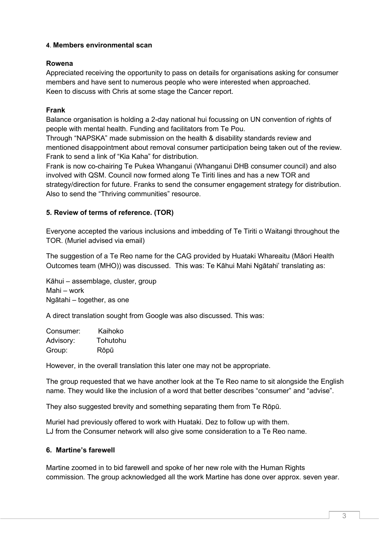## **4**. **Members environmental scan**

#### **Rowena**

Appreciated receiving the opportunity to pass on details for organisations asking for consumer members and have sent to numerous people who were interested when approached. Keen to discuss with Chris at some stage the Cancer report.

# **Frank**

Balance organisation is holding a 2-day national hui focussing on UN convention of rights of people with mental health. Funding and facilitators from Te Pou.

Through "NAPSKA" made submission on the health & disability standards review and mentioned disappointment about removal consumer participation being taken out of the review. Frank to send a link of "Kia Kaha" for distribution.

Frank is now co-chairing Te Pukea Whanganui (Whanganui DHB consumer council) and also involved with QSM. Council now formed along Te Tiriti lines and has a new TOR and strategy/direction for future. Franks to send the consumer engagement strategy for distribution. Also to send the "Thriving communities" resource.

## **5. Review of terms of reference. (TOR)**

Everyone accepted the various inclusions and imbedding of Te Tiriti o Waitangi throughout the TOR. (Muriel advised via email)

The suggestion of a Te Reo name for the CAG provided by Huataki Whareaitu (Māori Health Outcomes team (MHO)) was discussed. This was: Te Kāhui Mahi Ngātahi' translating as:

Kāhui – assemblage, cluster, group Mahi – work Ngātahi – together, as one

A direct translation sought from Google was also discussed. This was:

| Consumer: | Kaihoko  |
|-----------|----------|
| Advisory: | Tohutohu |
| Group:    | Rōpū     |

However, in the overall translation this later one may not be appropriate.

The group requested that we have another look at the Te Reo name to sit alongside the English name. They would like the inclusion of a word that better describes "consumer" and "advise".

They also suggested brevity and something separating them from Te Rōpū.

Muriel had previously offered to work with Huataki. Dez to follow up with them. LJ from the Consumer network will also give some consideration to a Te Reo name.

#### **6. Martine's farewell**

Martine zoomed in to bid farewell and spoke of her new role with the Human Rights commission. The group acknowledged all the work Martine has done over approx. seven year.